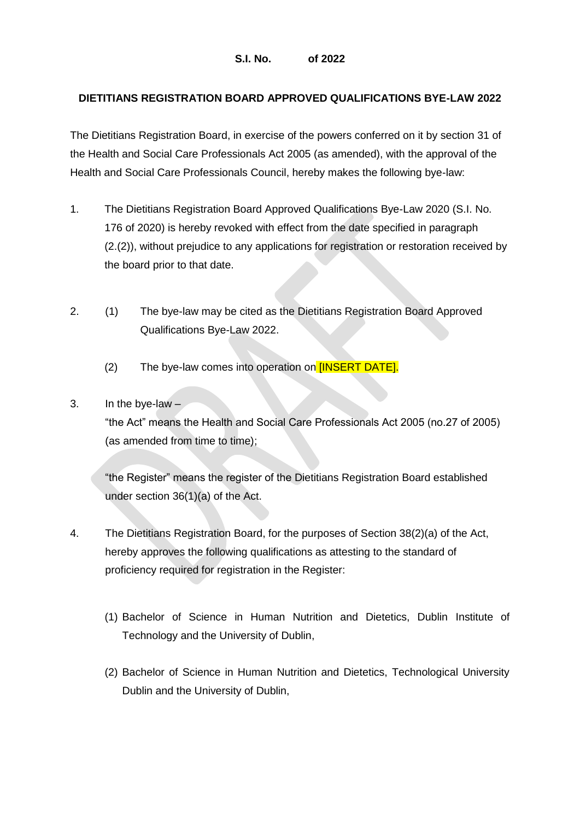## **DIETITIANS REGISTRATION BOARD APPROVED QUALIFICATIONS BYE-LAW 2022**

The Dietitians Registration Board, in exercise of the powers conferred on it by section 31 of the Health and Social Care Professionals Act 2005 (as amended), with the approval of the Health and Social Care Professionals Council, hereby makes the following bye-law:

- 1. The Dietitians Registration Board Approved Qualifications Bye-Law 2020 (S.I. No. 176 of 2020) is hereby revoked with effect from the date specified in paragraph (2.(2)), without prejudice to any applications for registration or restoration received by the board prior to that date.
- 2. (1) The bye-law may be cited as the Dietitians Registration Board Approved Qualifications Bye-Law 2022.
	- (2) The bye-law comes into operation on *[INSERT DATE]*.

## 3. In the bye-law  $-$

"the Act" means the Health and Social Care Professionals Act 2005 (no.27 of 2005) (as amended from time to time);

"the Register" means the register of the Dietitians Registration Board established under section 36(1)(a) of the Act.

- 4. The Dietitians Registration Board, for the purposes of Section 38(2)(a) of the Act, hereby approves the following qualifications as attesting to the standard of proficiency required for registration in the Register:
	- (1) Bachelor of Science in Human Nutrition and Dietetics, Dublin Institute of Technology and the University of Dublin,
	- (2) Bachelor of Science in Human Nutrition and Dietetics, Technological University Dublin and the University of Dublin,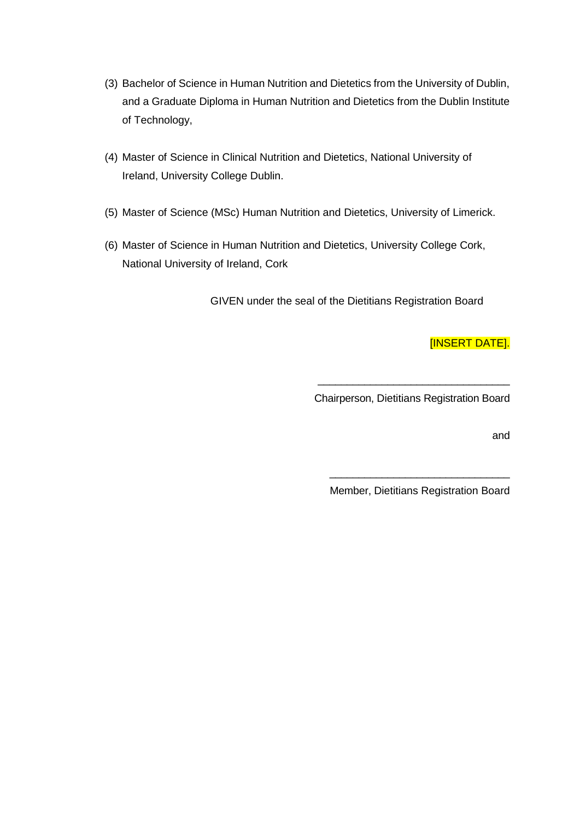- (3) Bachelor of Science in Human Nutrition and Dietetics from the University of Dublin, and a Graduate Diploma in Human Nutrition and Dietetics from the Dublin Institute of Technology,
- (4) Master of Science in Clinical Nutrition and Dietetics, National University of Ireland, University College Dublin.
- (5) Master of Science (MSc) Human Nutrition and Dietetics, University of Limerick.
- (6) Master of Science in Human Nutrition and Dietetics, University College Cork, National University of Ireland, Cork

GIVEN under the seal of the Dietitians Registration Board

[INSERT DATE].

\_\_\_\_\_\_\_\_\_\_\_\_\_\_\_\_\_\_\_\_\_\_\_\_\_\_\_\_\_\_\_\_\_ Chairperson, Dietitians Registration Board

and

\_\_\_\_\_\_\_\_\_\_\_\_\_\_\_\_\_\_\_\_\_\_\_\_\_\_\_\_\_\_\_ Member, Dietitians Registration Board